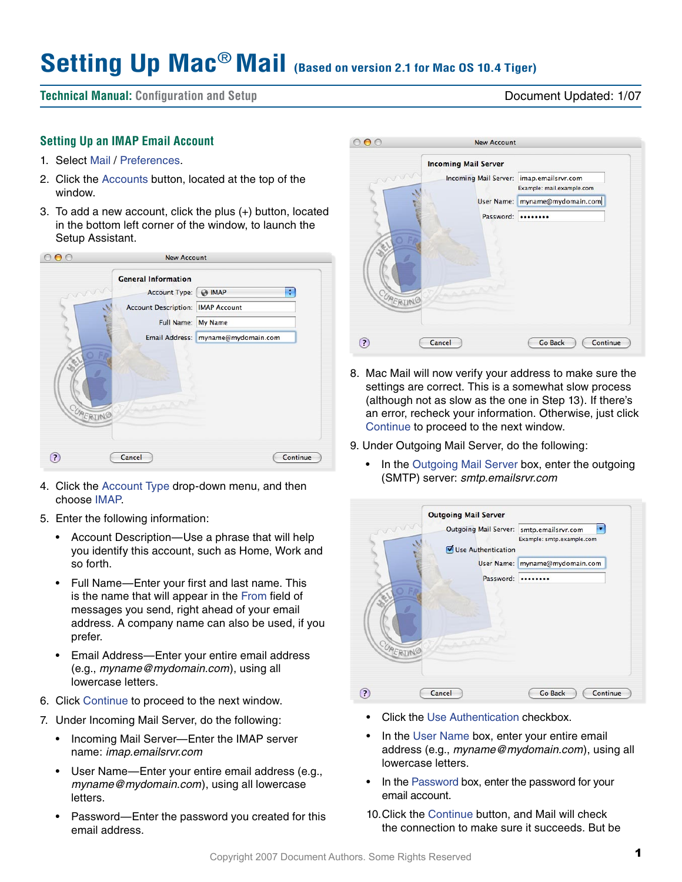# **Setting Up Mac**® **Mail (Based on version 2.1 for Mac OS 10.4 Tiger)**

**Technical Manual: Configuration and Setup** Document Updated: 1/07

## **Setting Up an IMAP Email Account**

- 1. Select Mail / Preferences.
- 2. Click the Accounts button, located at the top of the window.
- 3. To add a new account, click the plus (+) button, located in the bottom left corner of the window, to launch the Setup Assistant.

|                 | <b>New Account</b>                                                                                                            |                                                          |
|-----------------|-------------------------------------------------------------------------------------------------------------------------------|----------------------------------------------------------|
| mon<br>CUPERINO | <b>General Information</b><br><b>Account Type:</b><br><b>Account Description: IMAP Account</b><br>Full Name: My Name<br>AAAAA | ÷<br>$\Theta$ IMAP<br>Email Address: myname@mydomain.com |
| $\overline{a}$  | Cancel                                                                                                                        | Continue                                                 |

- 4. Click the Account Type drop-down menu, and then choose IMAP.
- 5. Enter the following information:
	- Account Description—Use a phrase that will help you identify this account, such as Home, Work and so forth.
	- • Full Name—Enter your first and last name. This is the name that will appear in the From field of messages you send, right ahead of your email address. A company name can also be used, if you prefer.
	- Email Address-Enter your entire email address (e.g., *myname@mydomain.com*), using all lowercase letters.
- 6. Click Continue to proceed to the next window.
- 7. Under Incoming Mail Server, do the following:
	- Incoming Mail Server-Enter the IMAP server name: *imap.emailsrvr.com*
	- User Name-Enter your entire email address (e.g., *myname@mydomain.com*), using all lowercase letters.
	- Password—Enter the password you created for this email address.



- 8. Mac Mail will now verify your address to make sure the settings are correct. This is a somewhat slow process (although not as slow as the one in Step 13). If there's an error, recheck your information. Otherwise, just click Continue to proceed to the next window.
- 9. Under Outgoing Mail Server, do the following:
	- In the Outgoing Mail Server box, enter the outgoing (SMTP) server: *smtp.emailsrvr.com*

| mun      | <b>Outgoing Mail Server</b><br>Outgoing Mail Server: smtp.emailsrvr.com<br>Use Authentication | Example: smtp.example.com      |
|----------|-----------------------------------------------------------------------------------------------|--------------------------------|
|          |                                                                                               | User Name: myname@mydomain.com |
|          | Password:                                                                                     |                                |
| CUPERING |                                                                                               |                                |
|          | Cancel                                                                                        | <b>Go Back</b><br>Continue     |

- Click the Use Authentication checkbox.
- In the User Name box, enter your entire email address (e.g., *myname@mydomain.com*), using all lowercase letters.
- In the Password box, enter the password for your email account.
- 10. Click the Continue button, and Mail will check the connection to make sure it succeeds. But be